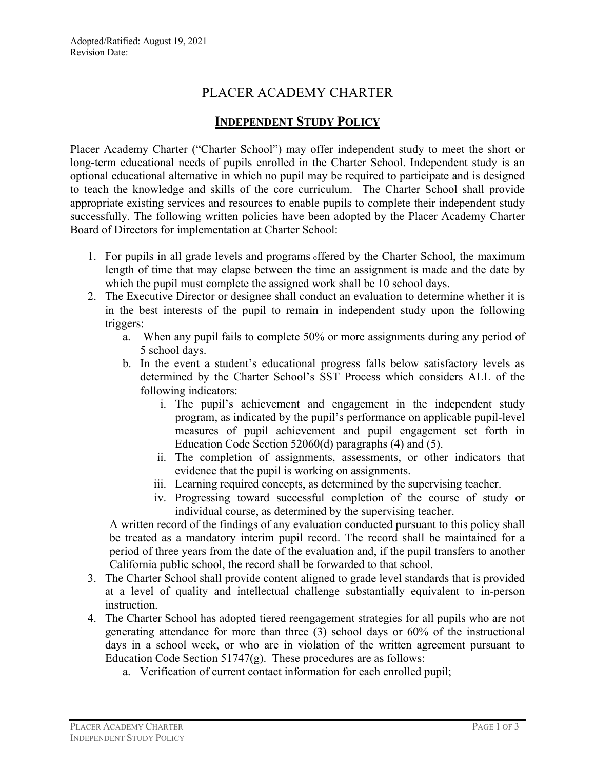## PLACER ACADEMY CHARTER

## **INDEPENDENT STUDY POLICY**

Placer Academy Charter ("Charter School") may offer independent study to meet the short or long-term educational needs of pupils enrolled in the Charter School. Independent study is an optional educational alternative in which no pupil may be required to participate and is designed to teach the knowledge and skills of the core curriculum. The Charter School shall provide appropriate existing services and resources to enable pupils to complete their independent study successfully. The following written policies have been adopted by the Placer Academy Charter Board of Directors for implementation at Charter School:

- 1. For pupils in all grade levels and programs offered by the Charter School, the maximum length of time that may elapse between the time an assignment is made and the date by which the pupil must complete the assigned work shall be 10 school days.
- 2. The Executive Director or designee shall conduct an evaluation to determine whether it is in the best interests of the pupil to remain in independent study upon the following triggers:
	- a. When any pupil fails to complete 50% or more assignments during any period of 5 school days.
	- b. In the event a student's educational progress falls below satisfactory levels as determined by the Charter School's SST Process which considers ALL of the following indicators:
		- i. The pupil's achievement and engagement in the independent study program, as indicated by the pupil's performance on applicable pupil-level measures of pupil achievement and pupil engagement set forth in Education Code Section 52060(d) paragraphs (4) and (5).
		- ii. The completion of assignments, assessments, or other indicators that evidence that the pupil is working on assignments.
		- iii. Learning required concepts, as determined by the supervising teacher.
		- iv. Progressing toward successful completion of the course of study or individual course, as determined by the supervising teacher.

A written record of the findings of any evaluation conducted pursuant to this policy shall be treated as a mandatory interim pupil record. The record shall be maintained for a period of three years from the date of the evaluation and, if the pupil transfers to another California public school, the record shall be forwarded to that school.

- 3. The Charter School shall provide content aligned to grade level standards that is provided at a level of quality and intellectual challenge substantially equivalent to in-person instruction.
- 4. The Charter School has adopted tiered reengagement strategies for all pupils who are not generating attendance for more than three (3) school days or 60% of the instructional days in a school week, or who are in violation of the written agreement pursuant to Education Code Section 51747 $(g)$ . These procedures are as follows:
	- a. Verification of current contact information for each enrolled pupil;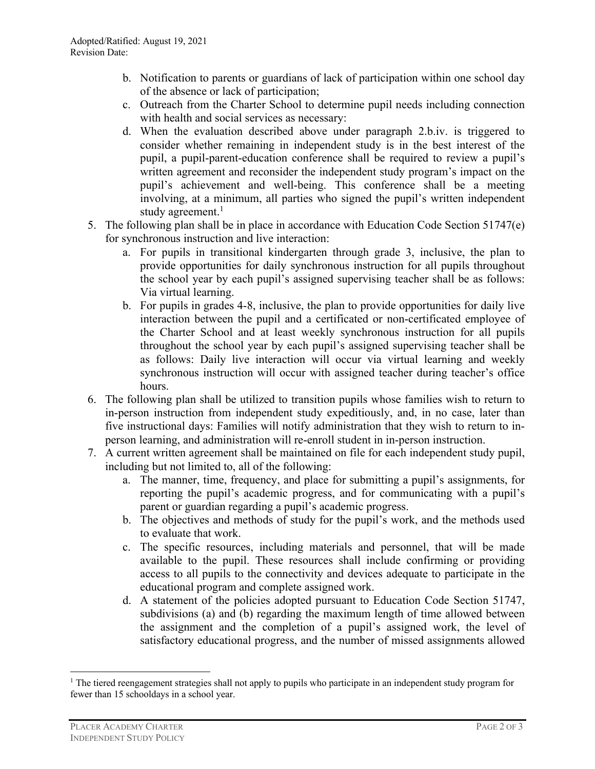- b. Notification to parents or guardians of lack of participation within one school day of the absence or lack of participation;
- c. Outreach from the Charter School to determine pupil needs including connection with health and social services as necessary:
- d. When the evaluation described above under paragraph 2.b.iv. is triggered to consider whether remaining in independent study is in the best interest of the pupil, a pupil-parent-education conference shall be required to review a pupil's written agreement and reconsider the independent study program's impact on the pupil's achievement and well-being. This conference shall be a meeting involving, at a minimum, all parties who signed the pupil's written independent study agreement.<sup>1</sup>
- 5. The following plan shall be in place in accordance with Education Code Section 51747(e) for synchronous instruction and live interaction:
	- a. For pupils in transitional kindergarten through grade 3, inclusive, the plan to provide opportunities for daily synchronous instruction for all pupils throughout the school year by each pupil's assigned supervising teacher shall be as follows: Via virtual learning.
	- b. For pupils in grades 4-8, inclusive, the plan to provide opportunities for daily live interaction between the pupil and a certificated or non-certificated employee of the Charter School and at least weekly synchronous instruction for all pupils throughout the school year by each pupil's assigned supervising teacher shall be as follows: Daily live interaction will occur via virtual learning and weekly synchronous instruction will occur with assigned teacher during teacher's office hours.
- 6. The following plan shall be utilized to transition pupils whose families wish to return to in-person instruction from independent study expeditiously, and, in no case, later than five instructional days: Families will notify administration that they wish to return to inperson learning, and administration will re-enroll student in in-person instruction.
- 7. A current written agreement shall be maintained on file for each independent study pupil, including but not limited to, all of the following:
	- a. The manner, time, frequency, and place for submitting a pupil's assignments, for reporting the pupil's academic progress, and for communicating with a pupil's parent or guardian regarding a pupil's academic progress.
	- b. The objectives and methods of study for the pupil's work, and the methods used to evaluate that work.
	- c. The specific resources, including materials and personnel, that will be made available to the pupil. These resources shall include confirming or providing access to all pupils to the connectivity and devices adequate to participate in the educational program and complete assigned work.
	- d. A statement of the policies adopted pursuant to Education Code Section 51747, subdivisions (a) and (b) regarding the maximum length of time allowed between the assignment and the completion of a pupil's assigned work, the level of satisfactory educational progress, and the number of missed assignments allowed

<sup>&</sup>lt;sup>1</sup> The tiered reengagement strategies shall not apply to pupils who participate in an independent study program for fewer than 15 schooldays in a school year.